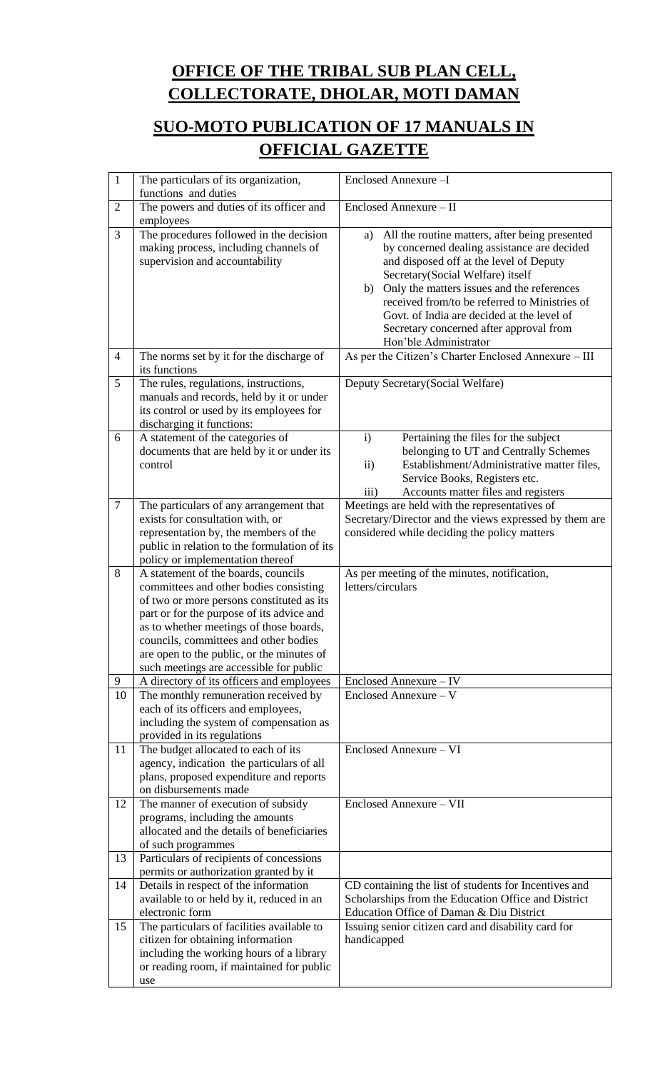## **OFFICE OF THE TRIBAL SUB PLAN CELL, COLLECTORATE, DHOLAR, MOTI DAMAN**

## **SUO-MOTO PUBLICATION OF 17 MANUALS IN OFFICIAL GAZETTE**

| $\mathbf{1}$   | The particulars of its organization,<br>functions and duties                                                                                                                                                                                                                                                                                        | Enclosed Annexure-I                                                                                                                                                                                                                                                                                                                                                                                       |
|----------------|-----------------------------------------------------------------------------------------------------------------------------------------------------------------------------------------------------------------------------------------------------------------------------------------------------------------------------------------------------|-----------------------------------------------------------------------------------------------------------------------------------------------------------------------------------------------------------------------------------------------------------------------------------------------------------------------------------------------------------------------------------------------------------|
| $\overline{2}$ | The powers and duties of its officer and<br>employees                                                                                                                                                                                                                                                                                               | Enclosed Annexure - II                                                                                                                                                                                                                                                                                                                                                                                    |
| 3              | The procedures followed in the decision<br>making process, including channels of<br>supervision and accountability                                                                                                                                                                                                                                  | All the routine matters, after being presented<br>a)<br>by concerned dealing assistance are decided<br>and disposed off at the level of Deputy<br>Secretary(Social Welfare) itself<br>Only the matters issues and the references<br>b)<br>received from/to be referred to Ministries of<br>Govt. of India are decided at the level of<br>Secretary concerned after approval from<br>Hon'ble Administrator |
| $\overline{4}$ | The norms set by it for the discharge of<br>its functions                                                                                                                                                                                                                                                                                           | As per the Citizen's Charter Enclosed Annexure - III                                                                                                                                                                                                                                                                                                                                                      |
| 5              | The rules, regulations, instructions,<br>manuals and records, held by it or under<br>its control or used by its employees for<br>discharging it functions:                                                                                                                                                                                          | Deputy Secretary (Social Welfare)                                                                                                                                                                                                                                                                                                                                                                         |
| 6              | A statement of the categories of<br>documents that are held by it or under its<br>control                                                                                                                                                                                                                                                           | $\mathbf{i}$<br>Pertaining the files for the subject<br>belonging to UT and Centrally Schemes<br>Establishment/Administrative matter files,<br>$\mathbf{ii}$<br>Service Books, Registers etc.<br>Accounts matter files and registers<br>$\overline{\text{iii}}$                                                                                                                                           |
| $\tau$         | The particulars of any arrangement that<br>exists for consultation with, or<br>representation by, the members of the<br>public in relation to the formulation of its<br>policy or implementation thereof                                                                                                                                            | Meetings are held with the representatives of<br>Secretary/Director and the views expressed by them are<br>considered while deciding the policy matters                                                                                                                                                                                                                                                   |
| 8              | A statement of the boards, councils<br>committees and other bodies consisting<br>of two or more persons constituted as its<br>part or for the purpose of its advice and<br>as to whether meetings of those boards,<br>councils, committees and other bodies<br>are open to the public, or the minutes of<br>such meetings are accessible for public | As per meeting of the minutes, notification,<br>letters/circulars                                                                                                                                                                                                                                                                                                                                         |
| 9              | A directory of its officers and employees                                                                                                                                                                                                                                                                                                           | Enclosed Annexure - IV                                                                                                                                                                                                                                                                                                                                                                                    |
| 10             | The monthly remuneration received by<br>each of its officers and employees,<br>including the system of compensation as<br>provided in its regulations                                                                                                                                                                                               | Enclosed Annexure - V                                                                                                                                                                                                                                                                                                                                                                                     |
| 11             | The budget allocated to each of its<br>agency, indication the particulars of all<br>plans, proposed expenditure and reports<br>on disbursements made                                                                                                                                                                                                | Enclosed Annexure - VI                                                                                                                                                                                                                                                                                                                                                                                    |
| 12             | The manner of execution of subsidy<br>programs, including the amounts<br>allocated and the details of beneficiaries<br>of such programmes                                                                                                                                                                                                           | Enclosed Annexure - VII                                                                                                                                                                                                                                                                                                                                                                                   |
| 13             | Particulars of recipients of concessions<br>permits or authorization granted by it                                                                                                                                                                                                                                                                  |                                                                                                                                                                                                                                                                                                                                                                                                           |
| 14             | Details in respect of the information<br>available to or held by it, reduced in an<br>electronic form                                                                                                                                                                                                                                               | CD containing the list of students for Incentives and<br>Scholarships from the Education Office and District<br>Education Office of Daman & Diu District                                                                                                                                                                                                                                                  |
| 15             | The particulars of facilities available to<br>citizen for obtaining information<br>including the working hours of a library<br>or reading room, if maintained for public<br>use                                                                                                                                                                     | Issuing senior citizen card and disability card for<br>handicapped                                                                                                                                                                                                                                                                                                                                        |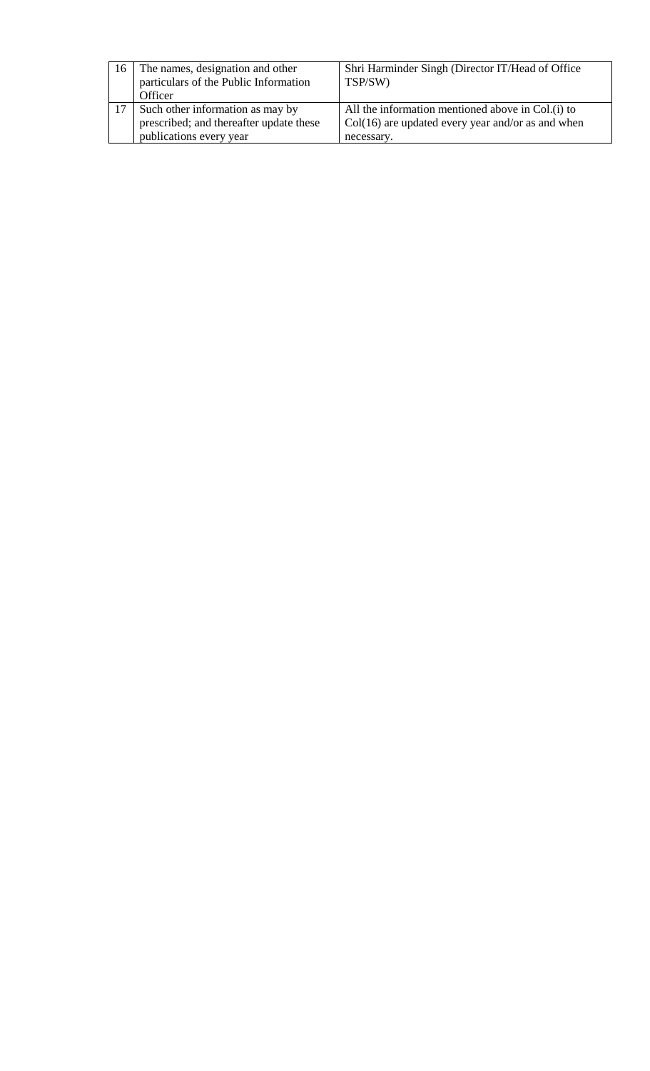| 16 | The names, designation and other<br>particulars of the Public Information<br>Officer | Shri Harminder Singh (Director IT/Head of Office<br>TSP/SW)                                              |
|----|--------------------------------------------------------------------------------------|----------------------------------------------------------------------------------------------------------|
|    | Such other information as may by<br>prescribed; and thereafter update these          | All the information mentioned above in Col.(i) to<br>$Col(16)$ are updated every year and/or as and when |
|    | publications every year                                                              | necessary.                                                                                               |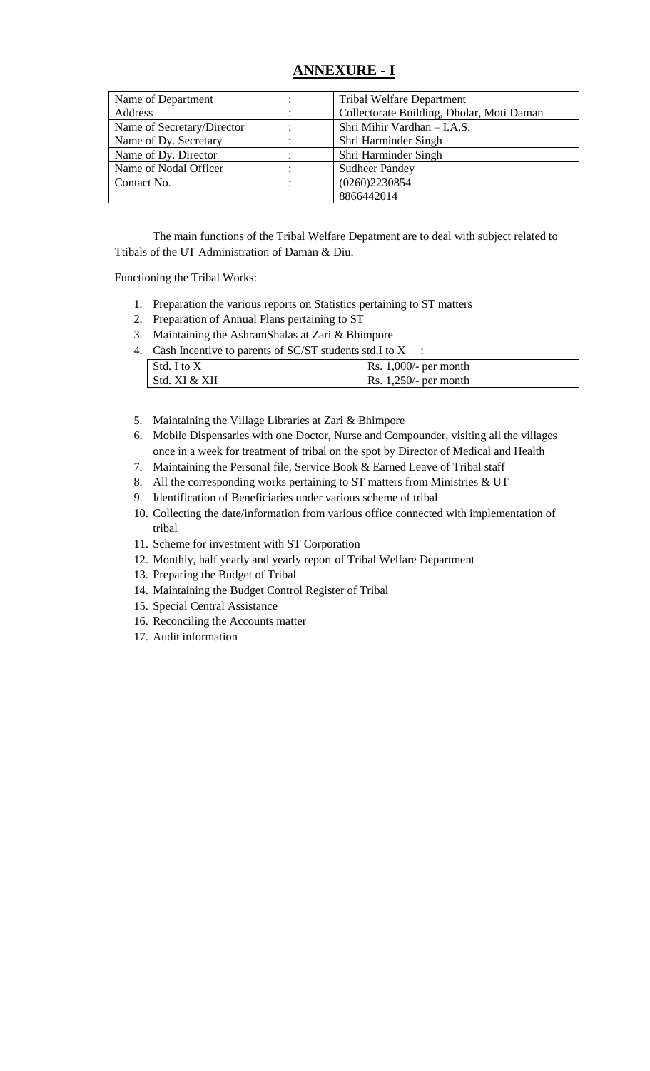## **ANNEXURE - I**

| Name of Department         | <b>Tribal Welfare Department</b>          |  |
|----------------------------|-------------------------------------------|--|
| Address                    | Collectorate Building, Dholar, Moti Daman |  |
| Name of Secretary/Director | Shri Mihir Vardhan - I.A.S.               |  |
| Name of Dy. Secretary      | Shri Harminder Singh                      |  |
| Name of Dy. Director       | Shri Harminder Singh                      |  |
| Name of Nodal Officer      | <b>Sudheer Pandey</b>                     |  |
| Contact No.                | (0260)2230854                             |  |
|                            | 8866442014                                |  |

The main functions of the Tribal Welfare Depatment are to deal with subject related to Ttibals of the UT Administration of Daman & Diu.

Functioning the Tribal Works:

- 1. Preparation the various reports on Statistics pertaining to ST matters
- 2. Preparation of Annual Plans pertaining to ST
- 3. Maintaining the AshramShalas at Zari & Bhimpore
- 4. Cash Incentive to parents of SC/ST students std.I to X :

| Std. I to X   | Rs. $1,000/-$ per month  |
|---------------|--------------------------|
| Std. XI & XII | Rs. $1,250/$ - per month |

- 5. Maintaining the Village Libraries at Zari & Bhimpore
- 6. Mobile Dispensaries with one Doctor, Nurse and Compounder, visiting all the villages once in a week for treatment of tribal on the spot by Director of Medical and Health
- 7. Maintaining the Personal file, Service Book & Earned Leave of Tribal staff
- 8. All the corresponding works pertaining to ST matters from Ministries & UT
- 9. Identification of Beneficiaries under various scheme of tribal
- 10. Collecting the date/information from various office connected with implementation of tribal
- 11. Scheme for investment with ST Corporation
- 12. Monthly, half yearly and yearly report of Tribal Welfare Department
- 13. Preparing the Budget of Tribal
- 14. Maintaining the Budget Control Register of Tribal
- 15. Special Central Assistance
- 16. Reconciling the Accounts matter
- 17. Audit information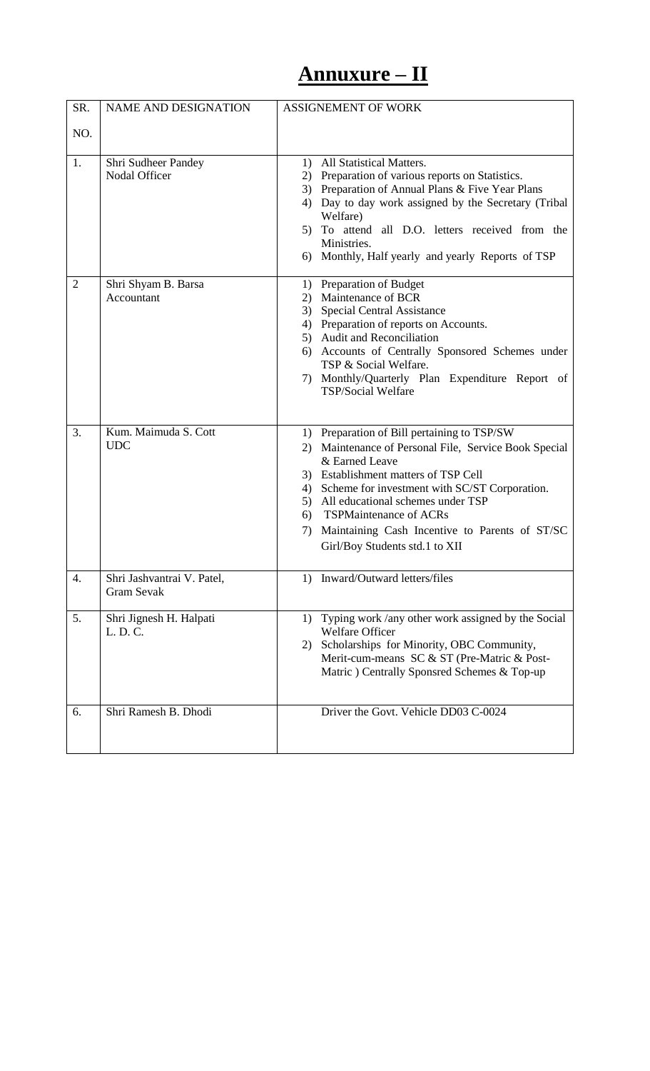# **Annuxure – II**

| SR.            | <b>NAME AND DESIGNATION</b>          | <b>ASSIGNEMENT OF WORK</b>                                                                              |  |
|----------------|--------------------------------------|---------------------------------------------------------------------------------------------------------|--|
| NO.            |                                      |                                                                                                         |  |
|                |                                      |                                                                                                         |  |
| 1.             | Shri Sudheer Pandey<br>Nodal Officer | All Statistical Matters.<br>1)                                                                          |  |
|                |                                      | Preparation of various reports on Statistics.<br>2)<br>3) Preparation of Annual Plans & Five Year Plans |  |
|                |                                      | Day to day work assigned by the Secretary (Tribal<br>4)                                                 |  |
|                |                                      | Welfare)                                                                                                |  |
|                |                                      | 5) To attend all D.O. letters received from the                                                         |  |
|                |                                      | Ministries.                                                                                             |  |
|                |                                      | 6) Monthly, Half yearly and yearly Reports of TSP                                                       |  |
| $\overline{2}$ | Shri Shyam B. Barsa                  | 1) Preparation of Budget                                                                                |  |
|                | Accountant                           | Maintenance of BCR<br>2)                                                                                |  |
|                |                                      | Special Central Assistance<br>3)                                                                        |  |
|                |                                      | 4) Preparation of reports on Accounts.                                                                  |  |
|                |                                      | 5) Audit and Reconciliation<br>6) Accounts of Centrally Sponsored Schemes under                         |  |
|                |                                      | TSP & Social Welfare.                                                                                   |  |
|                |                                      | 7) Monthly/Quarterly Plan Expenditure Report of                                                         |  |
|                |                                      | <b>TSP/Social Welfare</b>                                                                               |  |
|                |                                      |                                                                                                         |  |
| 3.             | Kum. Maimuda S. Cott                 | 1) Preparation of Bill pertaining to TSP/SW                                                             |  |
|                | <b>UDC</b>                           | 2) Maintenance of Personal File, Service Book Special                                                   |  |
|                |                                      | & Earned Leave                                                                                          |  |
|                |                                      | 3) Establishment matters of TSP Cell                                                                    |  |
|                |                                      | Scheme for investment with SC/ST Corporation.<br>4)                                                     |  |
|                |                                      | 5) All educational schemes under TSP<br>6) TSPMaintenance of ACRs                                       |  |
|                |                                      | 7) Maintaining Cash Incentive to Parents of ST/SC                                                       |  |
|                |                                      | Girl/Boy Students std.1 to XII                                                                          |  |
|                |                                      |                                                                                                         |  |
| 4.             | Shri Jashvantrai V. Patel,           | 1) Inward/Outward letters/files                                                                         |  |
|                | <b>Gram Sevak</b>                    |                                                                                                         |  |
| 5.             | Shri Jignesh H. Halpati              | 1) Typing work /any other work assigned by the Social                                                   |  |
|                | L. D. C.                             | <b>Welfare Officer</b>                                                                                  |  |
|                |                                      | Scholarships for Minority, OBC Community,<br>2)                                                         |  |
|                |                                      | Merit-cum-means SC & ST (Pre-Matric & Post-<br>Matric) Centrally Sponsred Schemes & Top-up              |  |
|                |                                      |                                                                                                         |  |
| 6.             | Shri Ramesh B. Dhodi                 | Driver the Govt. Vehicle DD03 C-0024                                                                    |  |
|                |                                      |                                                                                                         |  |
|                |                                      |                                                                                                         |  |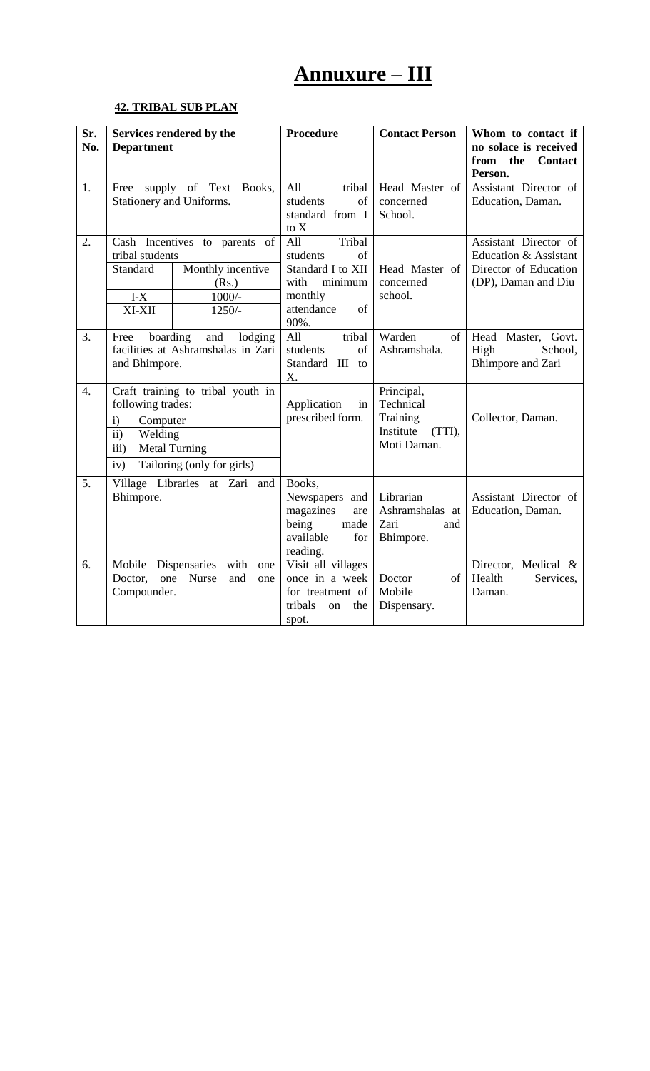# **Annuxure – III**

## **42. TRIBAL SUB PLAN**

| Sr.<br>No.       | <b>Department</b>                                                                                                    | Services rendered by the                                                            | <b>Procedure</b>                                                                                               | <b>Contact Person</b>                                                     | Whom to contact if<br>no solace is received<br>from the<br><b>Contact</b><br>Person.           |
|------------------|----------------------------------------------------------------------------------------------------------------------|-------------------------------------------------------------------------------------|----------------------------------------------------------------------------------------------------------------|---------------------------------------------------------------------------|------------------------------------------------------------------------------------------------|
| 1.               | supply of Text<br>Books,<br>Free<br>Stationery and Uniforms.                                                         |                                                                                     | tribal<br>All<br>of<br>students<br>standard from I<br>to X                                                     | Head Master of<br>concerned<br>School.                                    | Assistant Director of<br>Education, Daman.                                                     |
| 2.               | tribal students<br>Standard<br>$I-X$<br>XI-XII                                                                       | Cash Incentives to parents of<br>Monthly incentive<br>(Rs.)<br>$1000/-$<br>$1250/-$ | All<br>Tribal<br>of<br>students<br>Standard I to XII<br>minimum<br>with<br>monthly<br>attendance<br>of<br>90%. | Head Master of<br>concerned<br>school.                                    | Assistant Director of<br>Education & Assistant<br>Director of Education<br>(DP), Daman and Diu |
| 3.               | boarding<br>and<br>lodging<br>Free<br>facilities at Ashramshalas in Zari<br>and Bhimpore.                            |                                                                                     | tribal<br>All<br>of<br>students<br>Standard III to<br>X.                                                       | Warden<br>of<br>Ashramshala.                                              | Head Master, Govt.<br>High<br>School,<br><b>Bhimpore</b> and Zari                              |
| $\overline{4}$ . | following trades:<br>Computer<br>i)<br>$\mathbf{ii}$<br>Welding<br>$\overline{iii}$ )<br><b>Metal Turning</b><br>iv) | Craft training to tribal youth in<br>Tailoring (only for girls)                     | Application<br>in<br>prescribed form.                                                                          | Principal,<br>Technical<br>Training<br>Institute<br>(TTI),<br>Moti Daman. | Collector, Daman.                                                                              |
| 5.               | Bhimpore.                                                                                                            | Village Libraries at Zari and                                                       | Books,<br>Newspapers<br>and<br>magazines<br>are<br>being<br>made<br>available<br>for<br>reading.               | Librarian<br>Ashramshalas at<br>Zari<br>and<br>Bhimpore.                  | Assistant Director of<br>Education, Daman.                                                     |
| 6.               | Mobile<br>Doctor,<br>one<br>Compounder.                                                                              | Dispensaries<br>with<br>one<br><b>Nurse</b><br>and<br>one                           | Visit all villages<br>once in a week<br>for treatment of<br>tribals<br>the<br>on<br>spot.                      | Doctor<br>of<br>Mobile<br>Dispensary.                                     | Director, Medical &<br>Health<br>Services,<br>Daman.                                           |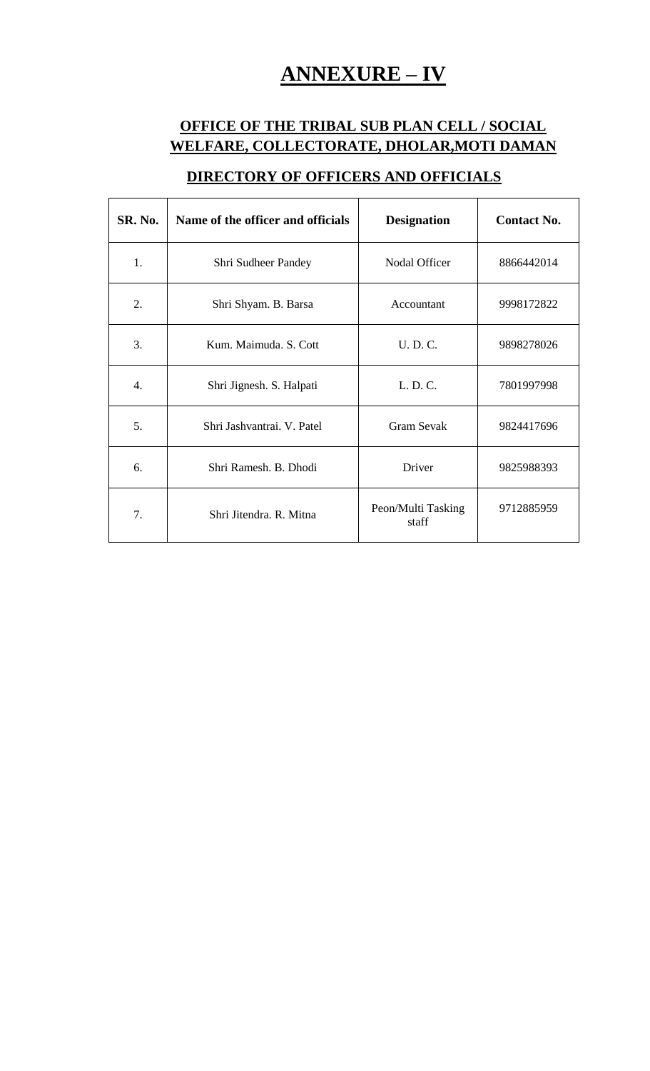# **ANNEXURE – IV**

## **OFFICE OF THE TRIBAL SUB PLAN CELL / SOCIAL WELFARE, COLLECTORATE, DHOLAR,MOTI DAMAN**

| <b>SR. No.</b> | Name of the officer and officials | <b>Designation</b>          | <b>Contact No.</b> |
|----------------|-----------------------------------|-----------------------------|--------------------|
| $\mathbf{1}$ . | Shri Sudheer Pandey               | Nodal Officer               | 8866442014         |
| 2.             | Shri Shyam. B. Barsa              | Accountant                  | 9998172822         |
| 3.             | Kum. Maimuda. S. Cott             | U. D. C.                    | 9898278026         |
| 4.             | Shri Jignesh. S. Halpati          | L. D. C.                    | 7801997998         |
| 5.             | Shri Jashvantrai. V. Patel        | <b>Gram Sevak</b>           | 9824417696         |
| 6.             | Shri Ramesh, B. Dhodi             | Driver                      | 9825988393         |
| 7.             | Shri Jitendra, R. Mitna           | Peon/Multi Tasking<br>staff | 9712885959         |

## **DIRECTORY OF OFFICERS AND OFFICIALS**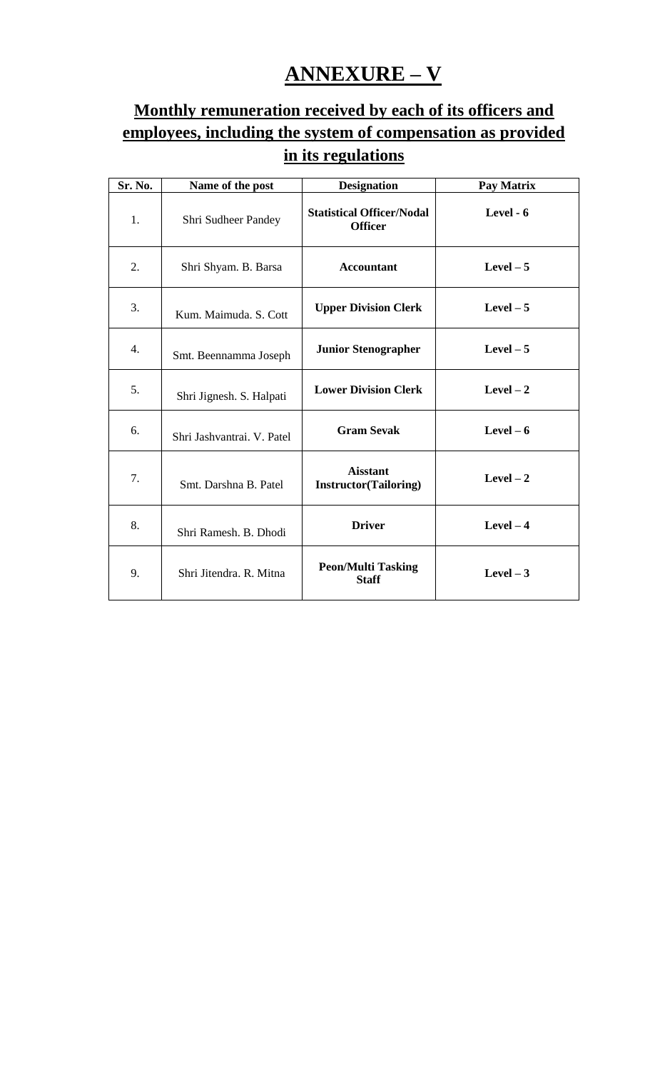# **ANNEXURE – V**

## **Monthly remuneration received by each of its officers and employees, including the system of compensation as provided in its regulations**

| Sr. No. | Name of the post           | <b>Designation</b>                                 | Pay Matrix |
|---------|----------------------------|----------------------------------------------------|------------|
| 1.      | Shri Sudheer Pandey        | <b>Statistical Officer/Nodal</b><br><b>Officer</b> | Level - 6  |
| 2.      | Shri Shyam. B. Barsa       | <b>Accountant</b>                                  | Level $-5$ |
| 3.      | Kum. Maimuda. S. Cott      | <b>Upper Division Clerk</b>                        | Level $-5$ |
| 4.      | Smt. Beennamma Joseph      | <b>Junior Stenographer</b>                         | Level $-5$ |
| 5.      | Shri Jignesh. S. Halpati   | <b>Lower Division Clerk</b>                        | Level $-2$ |
| 6.      | Shri Jashvantrai. V. Patel | <b>Gram Sevak</b>                                  | Level $-6$ |
| 7.      | Smt. Darshna B. Patel      | <b>Aisstant</b><br><b>Instructor</b> (Tailoring)   | Level $-2$ |
| 8.      | Shri Ramesh. B. Dhodi      | <b>Driver</b>                                      | Level $-4$ |
| 9.      | Shri Jitendra, R. Mitna    | <b>Peon/Multi Tasking</b><br><b>Staff</b>          | Level $-3$ |